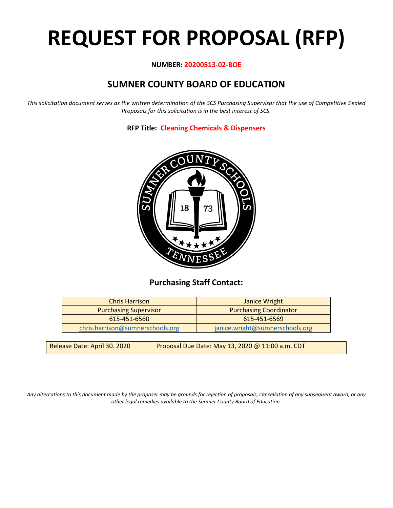# **REQUEST FOR PROPOSAL (RFP)**

## **NUMBER: 20200513-02-BOE**

# **SUMNER COUNTY BOARD OF EDUCATION**

*This solicitation document serves as the written determination of the SCS Purchasing Supervisor that the use of Competitive Sealed Proposals for this solicitation is in the best interest of SCS.*

**RFP Title: Cleaning Chemicals & Dispensers**



# **Purchasing Staff Contact:**

| <b>Purchasing Coordinator</b>   |
|---------------------------------|
| 615-451-6569                    |
| janice.wright@sumnerschools.org |
|                                 |

| Release Date: April 30. 2020 | Proposal Due Date: May 13, 2020 @ 11:00 a.m. CDT |
|------------------------------|--------------------------------------------------|
|                              |                                                  |

*Any altercations to this document made by the proposer may be grounds for rejection of proposals, cancellation of any subsequent award, or any other legal remedies available to the Sumner County Board of Education.*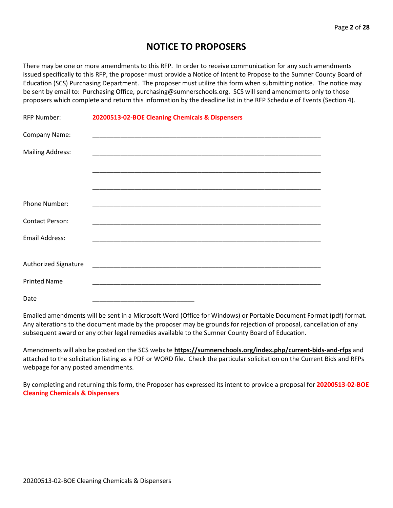# **NOTICE TO PROPOSERS**

There may be one or more amendments to this RFP. In order to receive communication for any such amendments issued specifically to this RFP, the proposer must provide a Notice of Intent to Propose to the Sumner County Board of Education (SCS) Purchasing Department. The proposer must utilize this form when submitting notice. The notice may be sent by email to: Purchasing Office, purchasing@sumnerschools.org. SCS will send amendments only to those proposers which complete and return this information by the deadline list in the RFP Schedule of Events (Section 4).

| <b>RFP Number:</b>      | 20200513-02-BOE Cleaning Chemicals & Dispensers                                                                       |
|-------------------------|-----------------------------------------------------------------------------------------------------------------------|
| Company Name:           |                                                                                                                       |
| <b>Mailing Address:</b> |                                                                                                                       |
|                         |                                                                                                                       |
|                         |                                                                                                                       |
| Phone Number:           |                                                                                                                       |
| <b>Contact Person:</b>  |                                                                                                                       |
| <b>Email Address:</b>   |                                                                                                                       |
|                         |                                                                                                                       |
| Authorized Signature    |                                                                                                                       |
| <b>Printed Name</b>     | <u> 1989 - Johann John Stone, markin sanat masjid a shekara ta 1989 - An tsarat masjid a shekara ta 1980 - An tsa</u> |
| Date                    |                                                                                                                       |

Emailed amendments will be sent in a Microsoft Word (Office for Windows) or Portable Document Format (pdf) format. Any alterations to the document made by the proposer may be grounds for rejection of proposal, cancellation of any subsequent award or any other legal remedies available to the Sumner County Board of Education.

Amendments will also be posted on the SCS website **https://sumnerschools.org/index.php/current-bids-and-rfps** and attached to the solicitation listing as a PDF or WORD file. Check the particular solicitation on the Current Bids and RFPs webpage for any posted amendments.

By completing and returning this form, the Proposer has expressed its intent to provide a proposal for **20200513-02-BOE Cleaning Chemicals & Dispensers**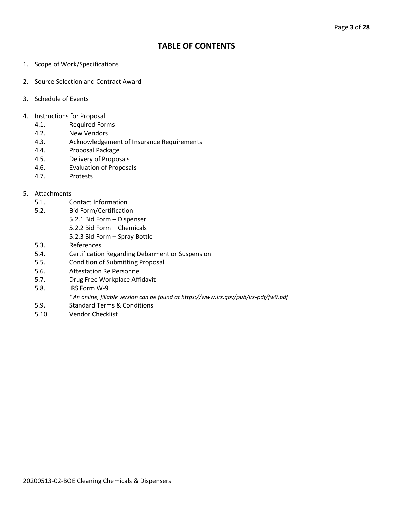# **TABLE OF CONTENTS**

- 1. Scope of Work/Specifications
- 2. Source Selection and Contract Award
- 3. Schedule of Events
- 4. Instructions for Proposal
	- 4.1. Required Forms
	- 4.2. New Vendors
	- 4.3. Acknowledgement of Insurance Requirements
	- 4.4. Proposal Package
	- 4.5. Delivery of Proposals
	- 4.6. Evaluation of Proposals
	- 4.7. Protests

#### 5. Attachments

- 5.1. Contact Information
- 5.2. Bid Form/Certification
	- 5.2.1 Bid Form Dispenser
		- 5.2.2 Bid Form Chemicals
		- 5.2.3 Bid Form Spray Bottle
- 5.3. References
- 5.4. Certification Regarding Debarment or Suspension
- 5.5. Condition of Submitting Proposal
- 5.6. Attestation Re Personnel
- 5.7. Drug Free Workplace Affidavit
- 5.8. IRS Form W-9
	- \**An online, fillable version can be found at https://www.irs.gov/pub/irs-pdf/fw9.pdf*
- 5.9. Standard Terms & Conditions
- 5.10. Vendor Checklist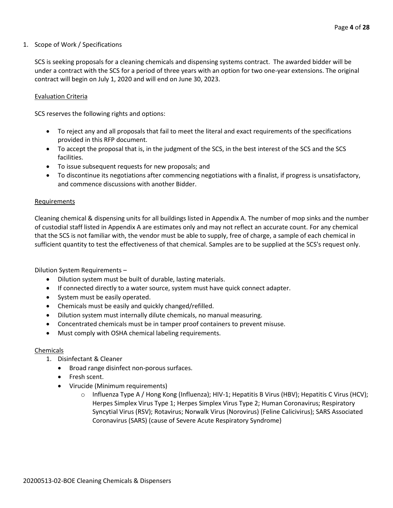#### 1. Scope of Work / Specifications

SCS is seeking proposals for a cleaning chemicals and dispensing systems contract. The awarded bidder will be under a contract with the SCS for a period of three years with an option for two one-year extensions. The original contract will begin on July 1, 2020 and will end on June 30, 2023.

#### Evaluation Criteria

SCS reserves the following rights and options:

- To reject any and all proposals that fail to meet the literal and exact requirements of the specifications provided in this RFP document.
- To accept the proposal that is, in the judgment of the SCS, in the best interest of the SCS and the SCS facilities.
- To issue subsequent requests for new proposals; and
- To discontinue its negotiations after commencing negotiations with a finalist, if progress is unsatisfactory, and commence discussions with another Bidder.

#### **Requirements**

Cleaning chemical & dispensing units for all buildings listed in Appendix A. The number of mop sinks and the number of custodial staff listed in Appendix A are estimates only and may not reflect an accurate count. For any chemical that the SCS is not familiar with, the vendor must be able to supply, free of charge, a sample of each chemical in sufficient quantity to test the effectiveness of that chemical. Samples are to be supplied at the SCS's request only.

Dilution System Requirements –

- Dilution system must be built of durable, lasting materials.
- If connected directly to a water source, system must have quick connect adapter.
- System must be easily operated.
- Chemicals must be easily and quickly changed/refilled.
- Dilution system must internally dilute chemicals, no manual measuring.
- Concentrated chemicals must be in tamper proof containers to prevent misuse.
- Must comply with OSHA chemical labeling requirements.

#### Chemicals

- 1. Disinfectant & Cleaner
	- Broad range disinfect non-porous surfaces.
	- Fresh scent.
	- Virucide (Minimum requirements)
		- o Influenza Type A / Hong Kong (Influenza); HIV-1; Hepatitis B Virus (HBV); Hepatitis C Virus (HCV); Herpes Simplex Virus Type 1; Herpes Simplex Virus Type 2; Human Coronavirus; Respiratory Syncytial Virus (RSV); Rotavirus; Norwalk Virus (Norovirus) (Feline Calicivirus); SARS Associated Coronavirus (SARS) (cause of Severe Acute Respiratory Syndrome)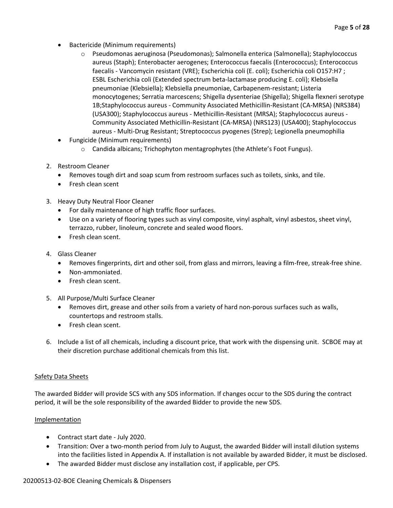- Bactericide (Minimum requirements)
	- o Pseudomonas aeruginosa (Pseudomonas); Salmonella enterica (Salmonella); Staphylococcus aureus (Staph); Enterobacter aerogenes; Enterococcus faecalis (Enterococcus); Enterococcus faecalis - Vancomycin resistant (VRE); Escherichia coli (E. coli); Escherichia coli O157:H7 ; ESBL Escherichia coli (Extended spectrum beta-lactamase producing E. coli); Klebsiella pneumoniae (Klebsiella); Klebsiella pneumoniae, Carbapenem-resistant; Listeria monocytogenes; Serratia marcescens; Shigella dysenteriae (Shigella); Shigella flexneri serotype 1B;Staphylococcus aureus - Community Associated Methicillin-Resistant (CA-MRSA) (NRS384) (USA300); Staphylococcus aureus - Methicillin-Resistant (MRSA); Staphylococcus aureus - Community Associated Methicillin-Resistant (CA-MRSA) (NRS123) (USA400); Staphylococcus aureus - Multi-Drug Resistant; Streptococcus pyogenes (Strep); Legionella pneumophilia
- Fungicide (Minimum requirements)
	- $\circ$  Candida albicans; Trichophyton mentagrophytes (the Athlete's Foot Fungus).
- 2. Restroom Cleaner
	- Removes tough dirt and soap scum from restroom surfaces such as toilets, sinks, and tile.
	- Fresh clean scent
- 3. Heavy Duty Neutral Floor Cleaner
	- For daily maintenance of high traffic floor surfaces.
	- Use on a variety of flooring types such as vinyl composite, vinyl asphalt, vinyl asbestos, sheet vinyl, terrazzo, rubber, linoleum, concrete and sealed wood floors.
	- Fresh clean scent.
- 4. Glass Cleaner
	- Removes fingerprints, dirt and other soil, from glass and mirrors, leaving a film-free, streak-free shine.
	- Non-ammoniated.
	- Fresh clean scent.
- 5. All Purpose/Multi Surface Cleaner
	- Removes dirt, grease and other soils from a variety of hard non-porous surfaces such as walls, countertops and restroom stalls.
	- Fresh clean scent.
- 6. Include a list of all chemicals, including a discount price, that work with the dispensing unit. SCBOE may at their discretion purchase additional chemicals from this list.

## Safety Data Sheets

The awarded Bidder will provide SCS with any SDS information. If changes occur to the SDS during the contract period, it will be the sole responsibility of the awarded Bidder to provide the new SDS.

## Implementation

- Contract start date July 2020.
- Transition: Over a two-month period from July to August, the awarded Bidder will install dilution systems into the facilities listed in Appendix A. If installation is not available by awarded Bidder, it must be disclosed.
- The awarded Bidder must disclose any installation cost, if applicable, per CPS.

# 20200513-02-BOE Cleaning Chemicals & Dispensers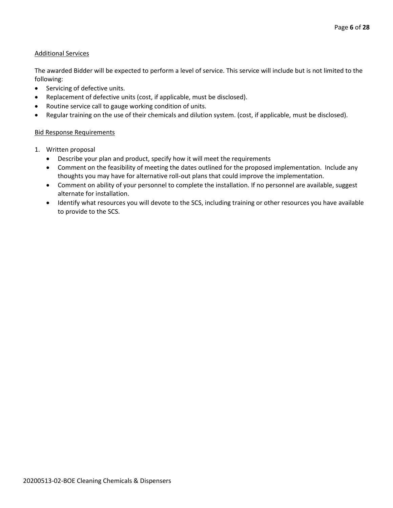#### Additional Services

The awarded Bidder will be expected to perform a level of service. This service will include but is not limited to the following:

- Servicing of defective units.
- Replacement of defective units (cost, if applicable, must be disclosed).
- Routine service call to gauge working condition of units.
- Regular training on the use of their chemicals and dilution system. (cost, if applicable, must be disclosed).

#### Bid Response Requirements

- 1. Written proposal
	- Describe your plan and product, specify how it will meet the requirements
	- Comment on the feasibility of meeting the dates outlined for the proposed implementation. Include any thoughts you may have for alternative roll-out plans that could improve the implementation.
	- Comment on ability of your personnel to complete the installation. If no personnel are available, suggest alternate for installation.
	- Identify what resources you will devote to the SCS, including training or other resources you have available to provide to the SCS.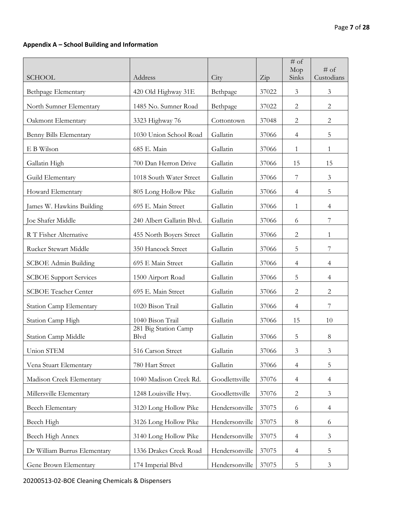# **Appendix A – School Building and Information**

|                               |                              |                |       | $\overline{\#}$ of<br>Mop | $#$ of         |
|-------------------------------|------------------------------|----------------|-------|---------------------------|----------------|
| <b>SCHOOL</b>                 | Address                      | City           | Zip   | Sinks                     | Custodians     |
| Bethpage Elementary           | 420 Old Highway 31E          | Bethpage       | 37022 | $\mathfrak{Z}$            | $\mathfrak{Z}$ |
| North Sumner Elementary       | 1485 No. Sumner Road         | Bethpage       | 37022 | $\mathbf{2}$              | $\overline{2}$ |
| Oakmont Elementary            | 3323 Highway 76              | Cottontown     | 37048 | $\mathbf{2}$              | $\mathbf{2}$   |
| Benny Bills Elementary        | 1030 Union School Road       | Gallatin       | 37066 | $\overline{4}$            | 5              |
| E B Wilson                    | 685 E. Main                  | Gallatin       | 37066 | 1                         | $\mathbf{1}$   |
| Gallatin High                 | 700 Dan Herron Drive         | Gallatin       | 37066 | 15                        | 15             |
| Guild Elementary              | 1018 South Water Street      | Gallatin       | 37066 | 7                         | 3              |
| Howard Elementary             | 805 Long Hollow Pike         | Gallatin       | 37066 | 4                         | 5              |
| James W. Hawkins Building     | 695 E. Main Street           | Gallatin       | 37066 | $\mathbf{1}$              | $\overline{4}$ |
| Joe Shafer Middle             | 240 Albert Gallatin Blvd.    | Gallatin       | 37066 | 6                         | 7              |
| R T Fisher Alternative        | 455 North Boyers Street      | Gallatin       | 37066 | $\mathbf{2}$              | $\mathbf{1}$   |
| Rucker Stewart Middle         | 350 Hancock Street           | Gallatin       | 37066 | 5                         | 7              |
| <b>SCBOE</b> Admin Building   | 695 E Main Street            | Gallatin       | 37066 | $\overline{4}$            | 4              |
| <b>SCBOE Support Services</b> | 1500 Airport Road            | Gallatin       | 37066 | 5                         | 4              |
| <b>SCBOE Teacher Center</b>   | 695 E. Main Street           | Gallatin       | 37066 | $\overline{c}$            | $\mathbf{2}$   |
| Station Camp Elementary       | 1020 Bison Trail             | Gallatin       | 37066 | $\overline{4}$            | 7              |
| Station Camp High             | 1040 Bison Trail             | Gallatin       | 37066 | 15                        | 10             |
| Station Camp Middle           | 281 Big Station Camp<br>Blvd | Gallatin       | 37066 | 5                         | $8\,$          |
| Union STEM                    | 516 Carson Street            | Gallatin       | 37066 | 3                         | 3              |
| Vena Stuart Elementary        | 780 Hart Street              | Gallatin       | 37066 | $\overline{4}$            | 5              |
| Madison Creek Elementary      | 1040 Madison Creek Rd.       | Goodlettsville | 37076 | $\overline{4}$            | $\overline{4}$ |
| Millersville Elementary       | 1248 Louisville Hwy.         | Goodlettsville | 37076 | $\mathbf{2}$              | 3              |
| Beech Elementary              | 3120 Long Hollow Pike        | Hendersonville | 37075 | 6                         | $\overline{4}$ |
| Beech High                    | 3126 Long Hollow Pike        | Hendersonville | 37075 | 8                         | 6              |
| Beech High Annex              | 3140 Long Hollow Pike        | Hendersonville | 37075 | $\overline{4}$            | 3              |
| Dr William Burrus Elementary  | 1336 Drakes Creek Road       | Hendersonville | 37075 | $\overline{4}$            | 5              |
| Gene Brown Elementary         | 174 Imperial Blvd            | Hendersonville | 37075 | 5                         | $\mathfrak{Z}$ |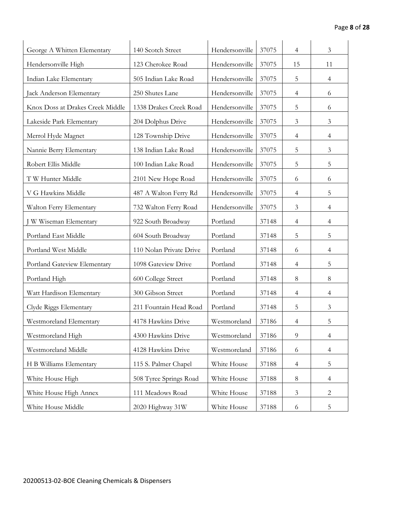| George A Whitten Elementary      | 140 Scotch Street       | Hendersonville | 37075 | 4              | 3              |
|----------------------------------|-------------------------|----------------|-------|----------------|----------------|
| Hendersonville High              | 123 Cherokee Road       | Hendersonville | 37075 | 15             | 11             |
| Indian Lake Elementary           | 505 Indian Lake Road    | Hendersonville | 37075 | 5              | 4              |
| Jack Anderson Elementary         | 250 Shutes Lane         | Hendersonville | 37075 | 4              | 6              |
| Knox Doss at Drakes Creek Middle | 1338 Drakes Creek Road  | Hendersonville | 37075 | 5              | 6              |
| Lakeside Park Elementary         | 204 Dolphus Drive       | Hendersonville | 37075 | 3              | 3              |
| Merrol Hyde Magnet               | 128 Township Drive      | Hendersonville | 37075 | $\overline{4}$ | 4              |
| Nannie Berry Elementary          | 138 Indian Lake Road    | Hendersonville | 37075 | 5              | 3              |
| Robert Ellis Middle              | 100 Indian Lake Road    | Hendersonville | 37075 | 5              | 5              |
| T W Hunter Middle                | 2101 New Hope Road      | Hendersonville | 37075 | 6              | 6              |
| V G Hawkins Middle               | 487 A Walton Ferry Rd   | Hendersonville | 37075 | 4              | 5              |
| Walton Ferry Elementary          | 732 Walton Ferry Road   | Hendersonville | 37075 | 3              | 4              |
| W Wiseman Elementary             | 922 South Broadway      | Portland       | 37148 | $\overline{4}$ | 4              |
| Portland East Middle             | 604 South Broadway      | Portland       | 37148 | 5              | 5              |
| Portland West Middle             | 110 Nolan Private Drive | Portland       | 37148 | 6              | 4              |
| Portland Gateview Elementary     | 1098 Gateview Drive     | Portland       | 37148 | $\overline{4}$ | 5              |
| Portland High                    | 600 College Street      | Portland       | 37148 | $8\phantom{.}$ | 8              |
| Watt Hardison Elementary         | 300 Gibson Street       | Portland       | 37148 | 4              | $\overline{4}$ |
| Clyde Riggs Elementary           | 211 Fountain Head Road  | Portland       | 37148 | 5              | $\overline{3}$ |
| Westmoreland Elementary          | 4178 Hawkins Drive      | Westmoreland   | 37186 | 4              | 5              |
| Westmoreland High                | 4300 Hawkins Drive      | Westmoreland   | 37186 | 9              | $\overline{4}$ |
| Westmoreland Middle              | 4128 Hawkins Drive      | Westmoreland   | 37186 | 6              | $\overline{4}$ |
| H B Williams Elementary          | 115 S. Palmer Chapel    | White House    | 37188 | $\overline{4}$ | 5              |
| White House High                 | 508 Tyree Springs Road  | White House    | 37188 | 8              | 4              |
| White House High Annex           | 111 Meadows Road        | White House    | 37188 | 3              | $\overline{2}$ |
| White House Middle               | 2020 Highway 31W        | White House    | 37188 | 6              | 5              |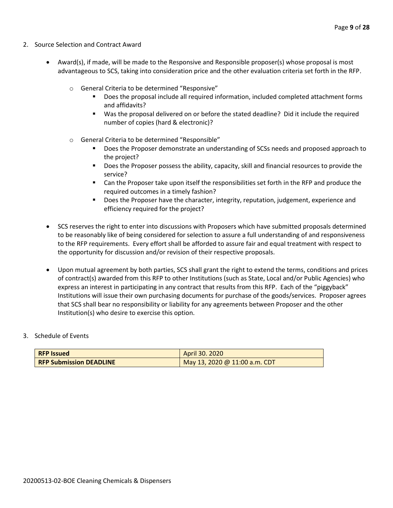- 2. Source Selection and Contract Award
	- Award(s), if made, will be made to the Responsive and Responsible proposer(s) whose proposal is most advantageous to SCS, taking into consideration price and the other evaluation criteria set forth in the RFP.
		- o General Criteria to be determined "Responsive"
			- Does the proposal include all required information, included completed attachment forms and affidavits?
			- Was the proposal delivered on or before the stated deadline? Did it include the required number of copies (hard & electronic)?
		- o General Criteria to be determined "Responsible"
			- Does the Proposer demonstrate an understanding of SCSs needs and proposed approach to the project?
			- Does the Proposer possess the ability, capacity, skill and financial resources to provide the service?
			- Can the Proposer take upon itself the responsibilities set forth in the RFP and produce the required outcomes in a timely fashion?
			- **■** Does the Proposer have the character, integrity, reputation, judgement, experience and efficiency required for the project?
	- SCS reserves the right to enter into discussions with Proposers which have submitted proposals determined to be reasonably like of being considered for selection to assure a full understanding of and responsiveness to the RFP requirements. Every effort shall be afforded to assure fair and equal treatment with respect to the opportunity for discussion and/or revision of their respective proposals.
	- Upon mutual agreement by both parties, SCS shall grant the right to extend the terms, conditions and prices of contract(s) awarded from this RFP to other Institutions (such as State, Local and/or Public Agencies) who express an interest in participating in any contract that results from this RFP. Each of the "piggyback" Institutions will issue their own purchasing documents for purchase of the goods/services. Proposer agrees that SCS shall bear no responsibility or liability for any agreements between Proposer and the other Institution(s) who desire to exercise this option.

#### 3. Schedule of Events

| <b>RFP Issued</b>              | April 30, 2020                |
|--------------------------------|-------------------------------|
| <b>RFP Submission DEADLINE</b> | May 13, 2020 @ 11:00 a.m. CDT |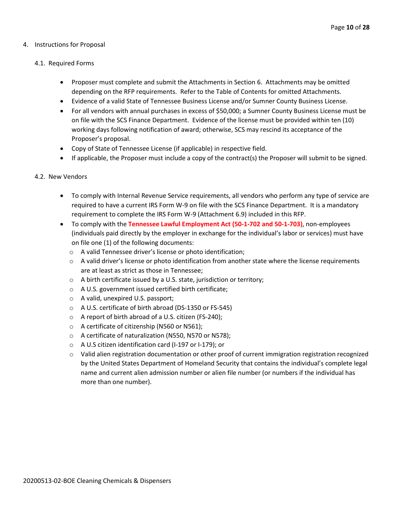#### 4. Instructions for Proposal

#### 4.1. Required Forms

- Proposer must complete and submit the Attachments in Section 6. Attachments may be omitted depending on the RFP requirements. Refer to the Table of Contents for omitted Attachments.
- Evidence of a valid State of Tennessee Business License and/or Sumner County Business License.
- For all vendors with annual purchases in excess of \$50,000; a Sumner County Business License must be on file with the SCS Finance Department. Evidence of the license must be provided within ten (10) working days following notification of award; otherwise, SCS may rescind its acceptance of the Proposer's proposal.
- Copy of State of Tennessee License (if applicable) in respective field.
- If applicable, the Proposer must include a copy of the contract(s) the Proposer will submit to be signed.

#### 4.2. New Vendors

- To comply with Internal Revenue Service requirements, all vendors who perform any type of service are required to have a current IRS Form W-9 on file with the SCS Finance Department. It is a mandatory requirement to complete the IRS Form W-9 (Attachment 6.9) included in this RFP.
- To comply with the **Tennessee Lawful Employment Act (50-1-702 and 50-1-703)**, non-employees (individuals paid directly by the employer in exchange for the individual's labor or services) must have on file one (1) of the following documents:
	- o A valid Tennessee driver's license or photo identification;
	- $\circ$  A valid driver's license or photo identification from another state where the license requirements are at least as strict as those in Tennessee;
	- o A birth certificate issued by a U.S. state, jurisdiction or territory;
	- o A U.S. government issued certified birth certificate;
	- o A valid, unexpired U.S. passport;
	- o A U.S. certificate of birth abroad (DS-1350 or FS-545)
	- o A report of birth abroad of a U.S. citizen (FS-240);
	- o A certificate of citizenship (N560 or N561);
	- o A certificate of naturalization (N550, N570 or N578);
	- o A U.S citizen identification card (I-197 or I-179); or
	- $\circ$  Valid alien registration documentation or other proof of current immigration registration recognized by the United States Department of Homeland Security that contains the individual's complete legal name and current alien admission number or alien file number (or numbers if the individual has more than one number).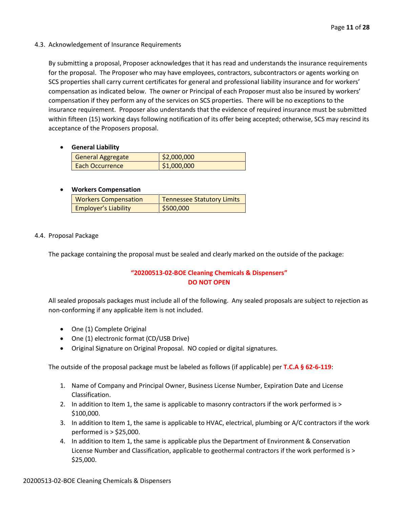#### 4.3. Acknowledgement of Insurance Requirements

By submitting a proposal, Proposer acknowledges that it has read and understands the insurance requirements for the proposal. The Proposer who may have employees, contractors, subcontractors or agents working on SCS properties shall carry current certificates for general and professional liability insurance and for workers' compensation as indicated below. The owner or Principal of each Proposer must also be insured by workers' compensation if they perform any of the services on SCS properties. There will be no exceptions to the insurance requirement. Proposer also understands that the evidence of required insurance must be submitted within fifteen (15) working days following notification of its offer being accepted; otherwise, SCS may rescind its acceptance of the Proposers proposal.

#### • **General Liability**

| General Aggregate | \$2,000,000 |
|-------------------|-------------|
| Each Occurrence   | \$1,000,000 |

#### • **Workers Compensation**

| <b>Workers Compensation</b> | <b>Tennessee Statutory Limits</b> |
|-----------------------------|-----------------------------------|
| <b>Employer's Liability</b> | \$500,000                         |

#### 4.4. Proposal Package

The package containing the proposal must be sealed and clearly marked on the outside of the package:

# **"20200513-02-BOE Cleaning Chemicals & Dispensers" DO NOT OPEN**

All sealed proposals packages must include all of the following. Any sealed proposals are subject to rejection as non-conforming if any applicable item is not included.

- One (1) Complete Original
- One (1) electronic format (CD/USB Drive)
- Original Signature on Original Proposal. NO copied or digital signatures.

The outside of the proposal package must be labeled as follows (if applicable) per **T.C.A § 62-6-119**:

- 1. Name of Company and Principal Owner, Business License Number, Expiration Date and License Classification.
- 2. In addition to Item 1, the same is applicable to masonry contractors if the work performed is > \$100,000.
- 3. In addition to Item 1, the same is applicable to HVAC, electrical, plumbing or A/C contractors if the work performed is > \$25,000.
- 4. In addition to Item 1, the same is applicable plus the Department of Environment & Conservation License Number and Classification, applicable to geothermal contractors if the work performed is > \$25,000.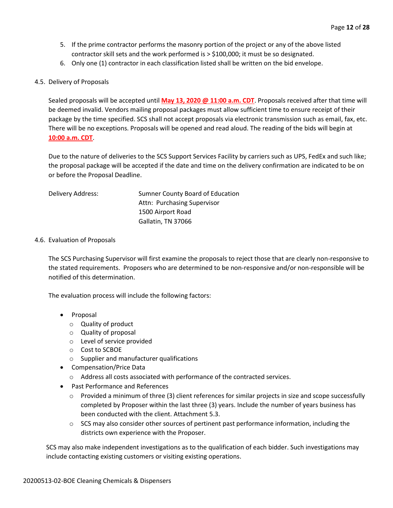- 5. If the prime contractor performs the masonry portion of the project or any of the above listed contractor skill sets and the work performed is > \$100,000; it must be so designated.
- 6. Only one (1) contractor in each classification listed shall be written on the bid envelope.

#### 4.5. Delivery of Proposals

Sealed proposals will be accepted until **May 13, 2020 @ 11:00 a.m. CDT**. Proposals received after that time will be deemed invalid. Vendors mailing proposal packages must allow sufficient time to ensure receipt of their package by the time specified. SCS shall not accept proposals via electronic transmission such as email, fax, etc. There will be no exceptions. Proposals will be opened and read aloud. The reading of the bids will begin at **10:00 a.m. CDT**.

Due to the nature of deliveries to the SCS Support Services Facility by carriers such as UPS, FedEx and such like; the proposal package will be accepted if the date and time on the delivery confirmation are indicated to be on or before the Proposal Deadline.

| Delivery Address: | Sumner County Board of Education |
|-------------------|----------------------------------|
|                   | Attn: Purchasing Supervisor      |
|                   | 1500 Airport Road                |
|                   | Gallatin, TN 37066               |

#### 4.6. Evaluation of Proposals

The SCS Purchasing Supervisor will first examine the proposals to reject those that are clearly non-responsive to the stated requirements. Proposers who are determined to be non-responsive and/or non-responsible will be notified of this determination.

The evaluation process will include the following factors:

- Proposal
	- o Quality of product
	- o Quality of proposal
	- o Level of service provided
	- o Cost to SCBOE
	- o Supplier and manufacturer qualifications
- Compensation/Price Data
	- o Address all costs associated with performance of the contracted services.
- Past Performance and References
	- $\circ$  Provided a minimum of three (3) client references for similar projects in size and scope successfully completed by Proposer within the last three (3) years. Include the number of years business has been conducted with the client. Attachment 5.3.
	- $\circ$  SCS may also consider other sources of pertinent past performance information, including the districts own experience with the Proposer.

SCS may also make independent investigations as to the qualification of each bidder. Such investigations may include contacting existing customers or visiting existing operations.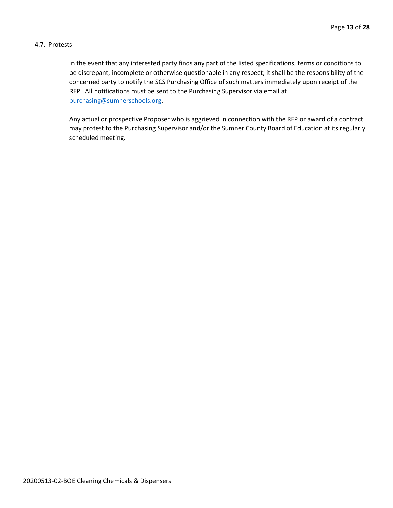#### 4.7. Protests

In the event that any interested party finds any part of the listed specifications, terms or conditions to be discrepant, incomplete or otherwise questionable in any respect; it shall be the responsibility of the concerned party to notify the SCS Purchasing Office of such matters immediately upon receipt of the RFP. All notifications must be sent to the Purchasing Supervisor via email at [purchasing@sumnerschools.org.](mailto:purchasing@sumnerschools.org)

Any actual or prospective Proposer who is aggrieved in connection with the RFP or award of a contract may protest to the Purchasing Supervisor and/or the Sumner County Board of Education at its regularly scheduled meeting.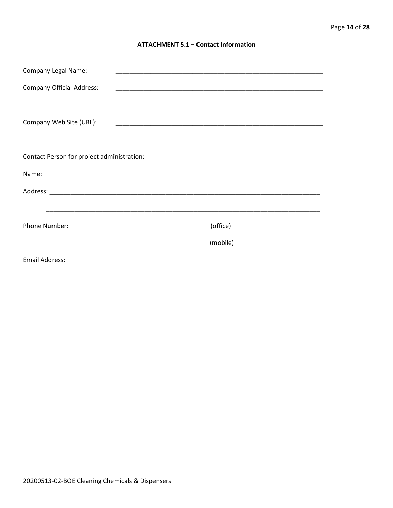#### **ATTACHMENT 5.1 - Contact Information**

| <b>Company Legal Name:</b>                 | <u> 1989 - Johann John Stoff, deutscher Stoffen und der Stoffen und der Stoffen und der Stoffen und der Stoffen u</u> |  |
|--------------------------------------------|-----------------------------------------------------------------------------------------------------------------------|--|
| <b>Company Official Address:</b>           |                                                                                                                       |  |
|                                            |                                                                                                                       |  |
| Company Web Site (URL):                    |                                                                                                                       |  |
|                                            |                                                                                                                       |  |
|                                            |                                                                                                                       |  |
| Contact Person for project administration: |                                                                                                                       |  |
|                                            |                                                                                                                       |  |
|                                            |                                                                                                                       |  |
|                                            |                                                                                                                       |  |
|                                            | (office)                                                                                                              |  |
|                                            |                                                                                                                       |  |
|                                            | (mobile)                                                                                                              |  |
|                                            |                                                                                                                       |  |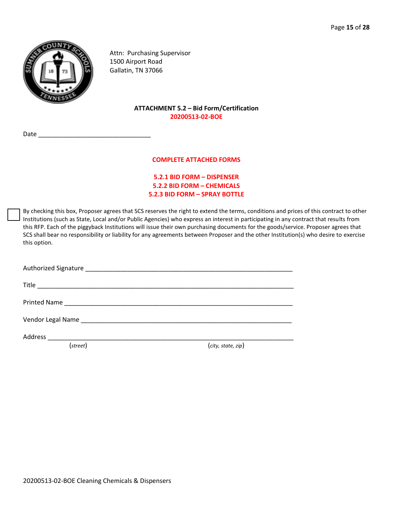

Attn: Purchasing Supervisor 1500 Airport Road Gallatin, TN 37066

### **ATTACHMENT 5.2 – Bid Form/Certification 20200513-02-BOE**

Date  $\overline{\phantom{a}}$ 

#### **COMPLETE ATTACHED FORMS**

## **5.2.1 BID FORM – DISPENSER 5.2.2 BID FORM – CHEMICALS 5.2.3 BID FORM – SPRAY BOTTLE**

By checking this box, Proposer agrees that SCS reserves the right to extend the terms, conditions and prices of this contract to other Institutions (such as State, Local and/or Public Agencies) who express an interest in participating in any contract that results from this RFP. Each of the piggyback Institutions will issue their own purchasing documents for the goods/service. Proposer agrees that SCS shall bear no responsibility or liability for any agreements between Proposer and the other Institution(s) who desire to exercise this option.

| (street) | (city, state, zip) |
|----------|--------------------|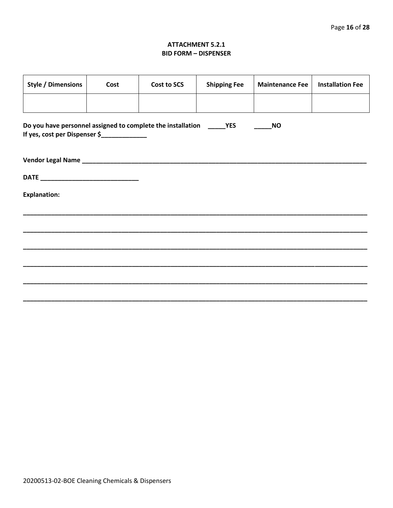#### **ATTACHMENT 5.2.1 BID FORM - DISPENSER**

| <b>Style / Dimensions</b>                                                                                              | Cost | Cost to SCS | <b>Shipping Fee</b> | <b>Maintenance Fee</b> | <b>Installation Fee</b> |
|------------------------------------------------------------------------------------------------------------------------|------|-------------|---------------------|------------------------|-------------------------|
|                                                                                                                        |      |             |                     |                        |                         |
| Do you have personnel assigned to complete the installation ______ YES<br>If yes, cost per Dispenser \$_______________ |      |             |                     | <b>NO</b>              |                         |
|                                                                                                                        |      |             |                     |                        |                         |
|                                                                                                                        |      |             |                     |                        |                         |
| <b>Explanation:</b>                                                                                                    |      |             |                     |                        |                         |
|                                                                                                                        |      |             |                     |                        |                         |
|                                                                                                                        |      |             |                     |                        |                         |
|                                                                                                                        |      |             |                     |                        |                         |
|                                                                                                                        |      |             |                     |                        |                         |
|                                                                                                                        |      |             |                     |                        |                         |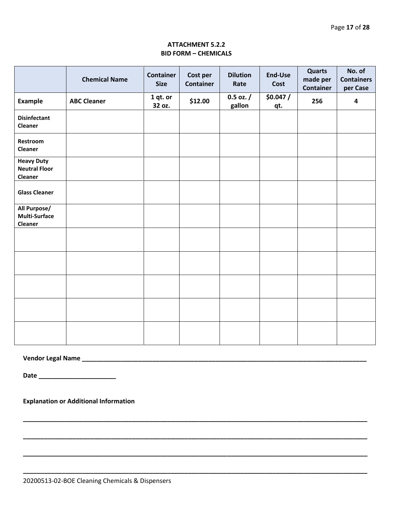## **ATTACHMENT 5.2.2 BID FORM – CHEMICALS**

|                                                             | <b>Chemical Name</b> | <b>Container</b><br><b>Size</b> | Cost per<br><b>Container</b> | <b>Dilution</b><br>Rate | End-Use<br>Cost | <b>Quarts</b><br>made per<br><b>Container</b> | No. of<br><b>Containers</b><br>per Case |  |
|-------------------------------------------------------------|----------------------|---------------------------------|------------------------------|-------------------------|-----------------|-----------------------------------------------|-----------------------------------------|--|
| <b>Example</b>                                              | <b>ABC Cleaner</b>   | 1 qt. or<br>32 oz.              | \$12.00                      | $0.5$ oz. $/$<br>gallon | \$0.047/<br>qt. | 256                                           | 4                                       |  |
| <b>Disinfectant</b><br>Cleaner                              |                      |                                 |                              |                         |                 |                                               |                                         |  |
| Restroom<br>Cleaner                                         |                      |                                 |                              |                         |                 |                                               |                                         |  |
| <b>Heavy Duty</b><br><b>Neutral Floor</b><br><b>Cleaner</b> |                      |                                 |                              |                         |                 |                                               |                                         |  |
| <b>Glass Cleaner</b>                                        |                      |                                 |                              |                         |                 |                                               |                                         |  |
| All Purpose/<br>Multi-Surface<br><b>Cleaner</b>             |                      |                                 |                              |                         |                 |                                               |                                         |  |
|                                                             |                      |                                 |                              |                         |                 |                                               |                                         |  |
|                                                             |                      |                                 |                              |                         |                 |                                               |                                         |  |
|                                                             |                      |                                 |                              |                         |                 |                                               |                                         |  |
|                                                             |                      |                                 |                              |                         |                 |                                               |                                         |  |
|                                                             |                      |                                 |                              |                         |                 |                                               |                                         |  |

**\_\_\_\_\_\_\_\_\_\_\_\_\_\_\_\_\_\_\_\_\_\_\_\_\_\_\_\_\_\_\_\_\_\_\_\_\_\_\_\_\_\_\_\_\_\_\_\_\_\_\_\_\_\_\_\_\_\_\_\_\_\_\_\_\_\_\_\_\_\_\_\_\_\_\_\_\_\_\_\_\_\_\_\_\_\_\_\_\_\_\_\_\_\_\_\_\_\_**

**\_\_\_\_\_\_\_\_\_\_\_\_\_\_\_\_\_\_\_\_\_\_\_\_\_\_\_\_\_\_\_\_\_\_\_\_\_\_\_\_\_\_\_\_\_\_\_\_\_\_\_\_\_\_\_\_\_\_\_\_\_\_\_\_\_\_\_\_\_\_\_\_\_\_\_\_\_\_\_\_\_\_\_\_\_\_\_\_\_\_\_\_\_\_\_\_\_\_**

**\_\_\_\_\_\_\_\_\_\_\_\_\_\_\_\_\_\_\_\_\_\_\_\_\_\_\_\_\_\_\_\_\_\_\_\_\_\_\_\_\_\_\_\_\_\_\_\_\_\_\_\_\_\_\_\_\_\_\_\_\_\_\_\_\_\_\_\_\_\_\_\_\_\_\_\_\_\_\_\_\_\_\_\_\_\_\_\_\_\_\_\_\_\_\_\_\_\_**

**\_\_\_\_\_\_\_\_\_\_\_\_\_\_\_\_\_\_\_\_\_\_\_\_\_\_\_\_\_\_\_\_\_\_\_\_\_\_\_\_\_\_\_\_\_\_\_\_\_\_\_\_\_\_\_\_\_\_\_\_\_\_\_\_\_\_\_\_\_\_\_\_\_\_\_\_\_\_\_\_\_\_\_\_\_\_\_\_\_\_\_\_\_\_\_\_\_\_**

# **Vendor Legal Name \_\_\_\_\_\_\_\_\_\_\_\_\_\_\_\_\_\_\_\_\_\_\_\_\_\_\_\_\_\_\_\_\_\_\_\_\_\_\_\_\_\_\_\_\_\_\_\_\_\_\_\_\_\_\_\_\_\_\_\_\_\_\_\_\_\_\_\_\_\_\_\_\_\_\_\_\_\_\_\_\_**

**Date \_\_\_\_\_\_\_\_\_\_\_\_\_\_\_\_\_\_\_\_\_\_**

**Explanation or Additional Information**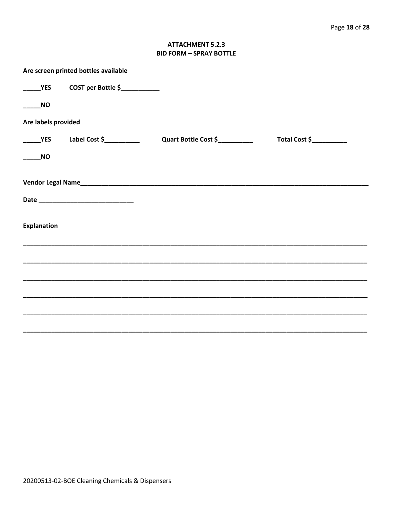## **ATTACHMENT 5.2.3 BID FORM - SPRAY BOTTLE**

|                     | Are screen printed bottles available |                      |                          |  |  |  |  |  |
|---------------------|--------------------------------------|----------------------|--------------------------|--|--|--|--|--|
| <b>YES</b>          | COST per Bottle \$                   |                      |                          |  |  |  |  |  |
| <b>NO</b>           |                                      |                      |                          |  |  |  |  |  |
| Are labels provided |                                      |                      |                          |  |  |  |  |  |
| <b>YES</b>          | Label Cost $\zeta$ __________        | Quart Bottle Cost \$ | Total Cost \$___________ |  |  |  |  |  |
| <b>NO</b>           |                                      |                      |                          |  |  |  |  |  |
|                     |                                      |                      |                          |  |  |  |  |  |
|                     |                                      |                      |                          |  |  |  |  |  |
| <b>Explanation</b>  |                                      |                      |                          |  |  |  |  |  |
|                     |                                      |                      |                          |  |  |  |  |  |
|                     |                                      |                      |                          |  |  |  |  |  |
|                     |                                      |                      |                          |  |  |  |  |  |
|                     |                                      |                      |                          |  |  |  |  |  |
|                     |                                      |                      |                          |  |  |  |  |  |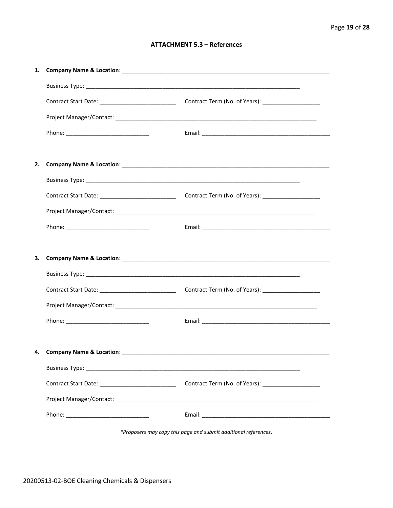#### **ATTACHMENT 5.3 - References**

| 2. |                                      |                                                       |
|----|--------------------------------------|-------------------------------------------------------|
|    |                                      |                                                       |
|    |                                      |                                                       |
|    |                                      |                                                       |
|    |                                      |                                                       |
|    |                                      |                                                       |
| 3. |                                      |                                                       |
|    |                                      |                                                       |
|    |                                      |                                                       |
|    |                                      |                                                       |
|    |                                      |                                                       |
|    |                                      |                                                       |
|    | 4. Company Name & Location: ________ |                                                       |
|    |                                      |                                                       |
|    |                                      | Contract Term (No. of Years): _______________________ |
|    |                                      |                                                       |
|    |                                      |                                                       |
|    |                                      |                                                       |

\*Proposers may copy this page and submit additional references.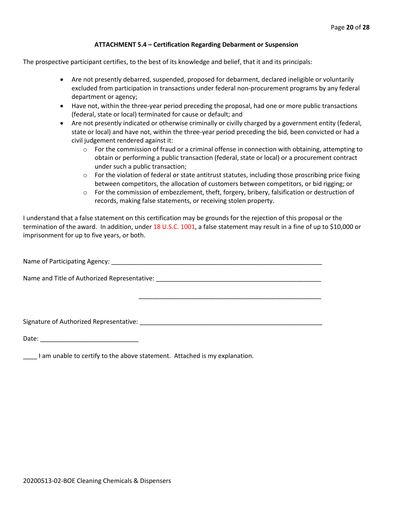#### **ATTACHMENT 5.4 – Certification Regarding Debarment or Suspension**

The prospective participant certifies, to the best of its knowledge and belief, that it and its principals:

- Are not presently debarred, suspended, proposed for debarment, declared ineligible or voluntarily excluded from participation in transactions under federal non-procurement programs by any federal department or agency;
- Have not, within the three-year period preceding the proposal, had one or more public transactions (federal, state or local) terminated for cause or default; and
- Are not presently indicated or otherwise criminally or civilly charged by a government entity (federal, state or local) and have not, within the three-year period preceding the bid, been convicted or had a civil judgement rendered against it:
	- $\circ$  For the commission of fraud or a criminal offense in connection with obtaining, attempting to obtain or performing a public transaction (federal, state or local) or a procurement contract under such a public transaction;
	- $\circ$  For the violation of federal or state antitrust statutes, including those proscribing price fixing between competitors, the allocation of customers between competitors, or bid rigging; or
	- $\circ$  For the commission of embezzlement, theft, forgery, bribery, falsification or destruction of records, making false statements, or receiving stolen property.

\_\_\_\_\_\_\_\_\_\_\_\_\_\_\_\_\_\_\_\_\_\_\_\_\_\_\_\_\_\_\_\_\_\_\_\_\_\_\_\_\_\_\_\_\_\_\_\_\_\_\_\_

I understand that a false statement on this certification may be grounds for the rejection of this proposal or the termination of the award. In addition, under 18 U.S.C. 1001, a false statement may result in a fine of up to \$10,000 or imprisonment for up to five years, or both.

Name of Participating Agency: \_\_\_\_\_\_\_\_\_\_\_\_\_\_\_\_\_\_\_\_\_\_\_\_\_\_\_\_\_\_\_\_\_\_\_\_\_\_\_\_\_\_\_\_\_\_\_\_\_\_\_\_\_\_\_\_\_\_\_\_

Name and Title of Authorized Representative: \_\_\_\_\_\_\_\_\_\_\_\_\_\_\_\_\_\_\_\_\_\_\_\_\_\_\_\_\_\_\_\_\_\_\_

Signature of Authorized Representative: \_\_\_\_\_\_\_\_\_\_\_\_\_\_\_\_\_\_\_\_\_\_\_\_\_\_\_\_\_\_\_\_\_\_\_\_\_\_\_\_\_\_\_\_\_\_\_\_\_\_\_\_

Date: \_\_\_\_\_\_\_\_\_\_\_\_\_\_\_\_\_\_\_\_\_\_\_\_\_\_\_\_

\_\_\_\_ I am unable to certify to the above statement. Attached is my explanation.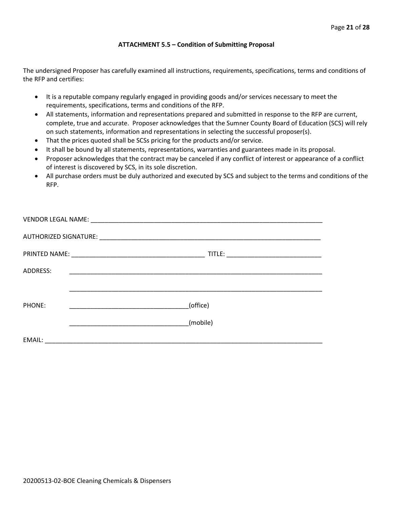#### **ATTACHMENT 5.5 – Condition of Submitting Proposal**

The undersigned Proposer has carefully examined all instructions, requirements, specifications, terms and conditions of the RFP and certifies:

- It is a reputable company regularly engaged in providing goods and/or services necessary to meet the requirements, specifications, terms and conditions of the RFP.
- All statements, information and representations prepared and submitted in response to the RFP are current, complete, true and accurate. Proposer acknowledges that the Sumner County Board of Education (SCS) will rely on such statements, information and representations in selecting the successful proposer(s).
- That the prices quoted shall be SCSs pricing for the products and/or service.
- It shall be bound by all statements, representations, warranties and guarantees made in its proposal.
- Proposer acknowledges that the contract may be canceled if any conflict of interest or appearance of a conflict of interest is discovered by SCS, in its sole discretion.
- All purchase orders must be duly authorized and executed by SCS and subject to the terms and conditions of the RFP.

| ADDRESS: |          |
|----------|----------|
|          |          |
|          |          |
| PHONE:   | (office) |
|          | (mobile) |
|          |          |
| EMAIL:   |          |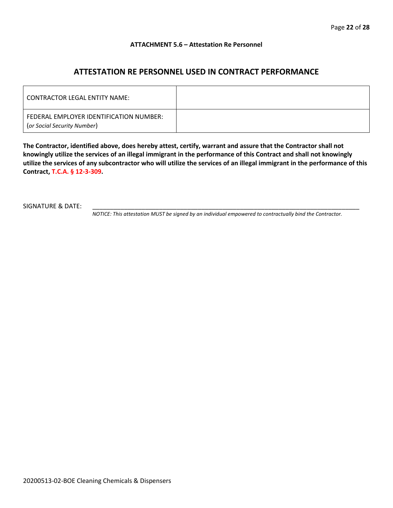#### **ATTACHMENT 5.6 – Attestation Re Personnel**

# **ATTESTATION RE PERSONNEL USED IN CONTRACT PERFORMANCE**

| CONTRACTOR LEGAL ENTITY NAME:                                          |  |
|------------------------------------------------------------------------|--|
| FEDERAL EMPLOYER IDENTIFICATION NUMBER:<br>(or Social Security Number) |  |

**The Contractor, identified above, does hereby attest, certify, warrant and assure that the Contractor shall not knowingly utilize the services of an illegal immigrant in the performance of this Contract and shall not knowingly utilize the services of any subcontractor who will utilize the services of an illegal immigrant in the performance of this Contract, T.C.A. § 12-3-309.**

SIGNATURE & DATE:

*NOTICE: This attestation MUST be signed by an individual empowered to contractually bind the Contractor.*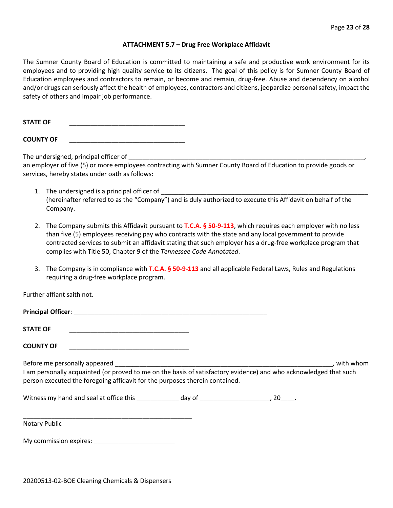#### **ATTACHMENT 5.7 – Drug Free Workplace Affidavit**

The Sumner County Board of Education is committed to maintaining a safe and productive work environment for its employees and to providing high quality service to its citizens. The goal of this policy is for Sumner County Board of Education employees and contractors to remain, or become and remain, drug-free. Abuse and dependency on alcohol and/or drugs can seriously affect the health of employees, contractors and citizens, jeopardize personal safety, impact the safety of others and impair job performance.

STATE OF

**COUNTY OF** \_\_\_\_\_\_\_\_\_\_\_\_\_\_\_\_\_\_\_\_\_\_\_\_\_\_\_\_\_\_\_\_\_

The undersigned, principal officer of

an employer of five (5) or more employees contracting with Sumner County Board of Education to provide goods or services, hereby states under oath as follows:

- 1. The undersigned is a principal officer of (hereinafter referred to as the "Company") and is duly authorized to execute this Affidavit on behalf of the Company.
- 2. The Company submits this Affidavit pursuant to **T.C.A. § 50-9-113**, which requires each employer with no less than five (5) employees receiving pay who contracts with the state and any local government to provide contracted services to submit an affidavit stating that such employer has a drug-free workplace program that complies with Title 50, Chapter 9 of the *Tennessee Code Annotated*.
- 3. The Company is in compliance with **T.C.A. § 50-9-113** and all applicable Federal Laws, Rules and Regulations requiring a drug-free workplace program.

Further affiant saith not.

| Principal Officer: |  |
|--------------------|--|
|                    |  |
| <b>STATE OF</b>    |  |

**COUNTY OF** \_\_\_\_\_\_\_\_\_\_\_\_\_\_\_\_\_\_\_\_\_\_\_\_\_\_\_\_\_\_\_\_\_\_

Before me personally appeared \_\_\_\_\_\_\_\_\_\_\_\_\_\_\_\_\_\_\_\_\_\_\_\_\_\_\_\_\_\_\_\_\_\_\_\_\_\_\_\_\_\_\_\_\_\_\_\_\_\_\_\_\_\_\_\_\_\_\_\_\_\_, with whom I am personally acquainted (or proved to me on the basis of satisfactory evidence) and who acknowledged that such person executed the foregoing affidavit for the purposes therein contained.

Witness my hand and seal at office this \_\_\_\_\_\_\_\_\_\_\_\_\_ day of \_\_\_\_\_\_\_\_\_\_\_\_\_\_\_\_\_\_\_\_\_, 20\_\_\_\_.

\_\_\_\_\_\_\_\_\_\_\_\_\_\_\_\_\_\_\_\_\_\_\_\_\_\_\_\_\_\_\_\_\_\_\_\_\_\_\_\_\_\_\_\_\_\_\_\_ Notary Public

My commission expires: \_\_\_\_\_\_\_\_\_\_\_\_\_\_\_\_\_\_\_\_\_\_\_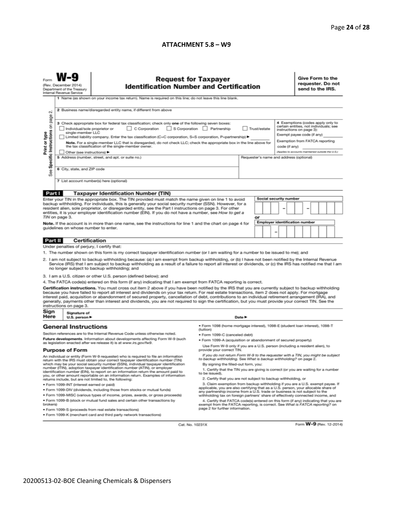#### **ATTACHMENT 5.8 – W9**

|                                                                                                                                                                                                                                                                                                                                                                                                                                                                                                                                                                                                                                                          | <b>Request for Taxpayer</b><br>(Rev. December 2014)<br><b>Identification Number and Certification</b><br>Department of the Treasury<br>Internal Revenue Service<br>1 Name (as shown on your income tax return). Name is required on this line; do not leave this line blank. |                                                                                                                                                                                                                                                                                                                                         |                                                                                                                                                                                                        |                                         |    |  |                                                                                                      | Give Form to the<br>requester. Do not<br>send to the IRS.                                                                             |  |  |  |  |  |
|----------------------------------------------------------------------------------------------------------------------------------------------------------------------------------------------------------------------------------------------------------------------------------------------------------------------------------------------------------------------------------------------------------------------------------------------------------------------------------------------------------------------------------------------------------------------------------------------------------------------------------------------------------|------------------------------------------------------------------------------------------------------------------------------------------------------------------------------------------------------------------------------------------------------------------------------|-----------------------------------------------------------------------------------------------------------------------------------------------------------------------------------------------------------------------------------------------------------------------------------------------------------------------------------------|--------------------------------------------------------------------------------------------------------------------------------------------------------------------------------------------------------|-----------------------------------------|----|--|------------------------------------------------------------------------------------------------------|---------------------------------------------------------------------------------------------------------------------------------------|--|--|--|--|--|
| 2 Business name/disregarded entity name, if different from above<br>N                                                                                                                                                                                                                                                                                                                                                                                                                                                                                                                                                                                    |                                                                                                                                                                                                                                                                              |                                                                                                                                                                                                                                                                                                                                         |                                                                                                                                                                                                        |                                         |    |  |                                                                                                      |                                                                                                                                       |  |  |  |  |  |
| Specific Instructions on page                                                                                                                                                                                                                                                                                                                                                                                                                                                                                                                                                                                                                            |                                                                                                                                                                                                                                                                              | 3 Check appropriate box for federal tax classification; check only one of the following seven boxes:<br>C Corporation<br>S Corporation Partnership<br>Trust/estate<br>Individual/sole proprietor or<br>single-member LLC<br>Limited liability company. Enter the tax classification (C=C corporation, S=S corporation, P=partnership) ▶ |                                                                                                                                                                                                        |                                         |    |  |                                                                                                      | 4 Exemptions (codes apply only to<br>certain entities, not individuals; see<br>instructions on page 3):<br>Exempt payee code (if any) |  |  |  |  |  |
| Print or type<br>Note. For a single-member LLC that is disregarded, do not check LLC; check the appropriate box in the line above for<br>the tax classification of the single-member owner.<br>Other (see instructions) ▶                                                                                                                                                                                                                                                                                                                                                                                                                                |                                                                                                                                                                                                                                                                              |                                                                                                                                                                                                                                                                                                                                         |                                                                                                                                                                                                        |                                         |    |  | Exemption from FATCA reporting<br>code (if any)<br>(Applies to accounts maintained outside the U.S.) |                                                                                                                                       |  |  |  |  |  |
| See                                                                                                                                                                                                                                                                                                                                                                                                                                                                                                                                                                                                                                                      | 6 City, state, and ZIP code                                                                                                                                                                                                                                                  | 5 Address (number, street, and apt. or suite no.)                                                                                                                                                                                                                                                                                       |                                                                                                                                                                                                        | Requester's name and address (optional) |    |  |                                                                                                      |                                                                                                                                       |  |  |  |  |  |
|                                                                                                                                                                                                                                                                                                                                                                                                                                                                                                                                                                                                                                                          |                                                                                                                                                                                                                                                                              | 7 List account number(s) here (optional)                                                                                                                                                                                                                                                                                                |                                                                                                                                                                                                        |                                         |    |  |                                                                                                      |                                                                                                                                       |  |  |  |  |  |
| Part I                                                                                                                                                                                                                                                                                                                                                                                                                                                                                                                                                                                                                                                   |                                                                                                                                                                                                                                                                              | <b>Taxpayer Identification Number (TIN)</b>                                                                                                                                                                                                                                                                                             |                                                                                                                                                                                                        |                                         |    |  |                                                                                                      |                                                                                                                                       |  |  |  |  |  |
|                                                                                                                                                                                                                                                                                                                                                                                                                                                                                                                                                                                                                                                          |                                                                                                                                                                                                                                                                              | Enter your TIN in the appropriate box. The TIN provided must match the name given on line 1 to avoid<br>backup withholding. For individuals, this is generally your social security number (SSN). However, for a                                                                                                                        |                                                                                                                                                                                                        |                                         |    |  | Social security number                                                                               |                                                                                                                                       |  |  |  |  |  |
|                                                                                                                                                                                                                                                                                                                                                                                                                                                                                                                                                                                                                                                          | TIN on page 3.                                                                                                                                                                                                                                                               | resident alien, sole proprietor, or disregarded entity, see the Part I instructions on page 3. For other<br>entities, it is your employer identification number (EIN). If you do not have a number, see How to get a                                                                                                                    |                                                                                                                                                                                                        |                                         | or |  | -                                                                                                    |                                                                                                                                       |  |  |  |  |  |
|                                                                                                                                                                                                                                                                                                                                                                                                                                                                                                                                                                                                                                                          |                                                                                                                                                                                                                                                                              | Note. If the account is in more than one name, see the instructions for line 1 and the chart on page 4 for                                                                                                                                                                                                                              |                                                                                                                                                                                                        |                                         |    |  | <b>Employer identification number</b>                                                                |                                                                                                                                       |  |  |  |  |  |
| guidelines on whose number to enter.<br>-                                                                                                                                                                                                                                                                                                                                                                                                                                                                                                                                                                                                                |                                                                                                                                                                                                                                                                              |                                                                                                                                                                                                                                                                                                                                         |                                                                                                                                                                                                        |                                         |    |  |                                                                                                      |                                                                                                                                       |  |  |  |  |  |
| Part II                                                                                                                                                                                                                                                                                                                                                                                                                                                                                                                                                                                                                                                  | <b>Certification</b>                                                                                                                                                                                                                                                         |                                                                                                                                                                                                                                                                                                                                         |                                                                                                                                                                                                        |                                         |    |  |                                                                                                      |                                                                                                                                       |  |  |  |  |  |
|                                                                                                                                                                                                                                                                                                                                                                                                                                                                                                                                                                                                                                                          | Under penalties of perjury, I certify that:                                                                                                                                                                                                                                  |                                                                                                                                                                                                                                                                                                                                         |                                                                                                                                                                                                        |                                         |    |  |                                                                                                      |                                                                                                                                       |  |  |  |  |  |
| 1. The number shown on this form is my correct taxpayer identification number (or I am waiting for a number to be issued to me); and<br>2. I am not subject to backup withholding because: (a) I am exempt from backup withholding, or (b) I have not been notified by the Internal Revenue<br>Service (IRS) that I am subject to backup withholding as a result of a failure to report all interest or dividends, or (c) the IRS has notified me that I am<br>no longer subject to backup withholding; and                                                                                                                                              |                                                                                                                                                                                                                                                                              |                                                                                                                                                                                                                                                                                                                                         |                                                                                                                                                                                                        |                                         |    |  |                                                                                                      |                                                                                                                                       |  |  |  |  |  |
|                                                                                                                                                                                                                                                                                                                                                                                                                                                                                                                                                                                                                                                          |                                                                                                                                                                                                                                                                              | 3. I am a U.S. citizen or other U.S. person (defined below); and                                                                                                                                                                                                                                                                        |                                                                                                                                                                                                        |                                         |    |  |                                                                                                      |                                                                                                                                       |  |  |  |  |  |
|                                                                                                                                                                                                                                                                                                                                                                                                                                                                                                                                                                                                                                                          |                                                                                                                                                                                                                                                                              | 4. The FATCA code(s) entered on this form (if any) indicating that I am exempt from FATCA reporting is correct.                                                                                                                                                                                                                         |                                                                                                                                                                                                        |                                         |    |  |                                                                                                      |                                                                                                                                       |  |  |  |  |  |
| Certification instructions. You must cross out item 2 above if you have been notified by the IRS that you are currently subject to backup withholding<br>because you have failed to report all interest and dividends on your tax return. For real estate transactions, item 2 does not apply. For mortgage<br>interest paid, acquisition or abandonment of secured property, cancellation of debt, contributions to an individual retirement arrangement (IRA), and<br>generally, payments other than interest and dividends, you are not required to sign the certification, but you must provide your correct TIN. See the<br>instructions on page 3. |                                                                                                                                                                                                                                                                              |                                                                                                                                                                                                                                                                                                                                         |                                                                                                                                                                                                        |                                         |    |  |                                                                                                      |                                                                                                                                       |  |  |  |  |  |
| Sign<br>Here                                                                                                                                                                                                                                                                                                                                                                                                                                                                                                                                                                                                                                             | Signature of<br>U.S. person ▶                                                                                                                                                                                                                                                |                                                                                                                                                                                                                                                                                                                                         |                                                                                                                                                                                                        | Date $\blacktriangleright$              |    |  |                                                                                                      |                                                                                                                                       |  |  |  |  |  |
|                                                                                                                                                                                                                                                                                                                                                                                                                                                                                                                                                                                                                                                          | <b>General Instructions</b>                                                                                                                                                                                                                                                  |                                                                                                                                                                                                                                                                                                                                         | · Form 1098 (home mortgage interest), 1098-E (student loan interest), 1098-T<br>(tuition)                                                                                                              |                                         |    |  |                                                                                                      |                                                                                                                                       |  |  |  |  |  |
|                                                                                                                                                                                                                                                                                                                                                                                                                                                                                                                                                                                                                                                          |                                                                                                                                                                                                                                                                              | Section references are to the Internal Revenue Code unless otherwise noted.                                                                                                                                                                                                                                                             | · Form 1099-C (canceled debt)                                                                                                                                                                          |                                         |    |  |                                                                                                      |                                                                                                                                       |  |  |  |  |  |
|                                                                                                                                                                                                                                                                                                                                                                                                                                                                                                                                                                                                                                                          |                                                                                                                                                                                                                                                                              | Future developments. Information about developments affecting Form W-9 (such                                                                                                                                                                                                                                                            | . Form 1099-A (acquisition or abandonment of secured property)                                                                                                                                         |                                         |    |  |                                                                                                      |                                                                                                                                       |  |  |  |  |  |
| as legislation enacted after we release it) is at www.irs.gov/fw9.<br><b>Purpose of Form</b>                                                                                                                                                                                                                                                                                                                                                                                                                                                                                                                                                             |                                                                                                                                                                                                                                                                              | Use Form W-9 only if you are a U.S. person (including a resident alien), to<br>provide your correct TIN.                                                                                                                                                                                                                                |                                                                                                                                                                                                        |                                         |    |  |                                                                                                      |                                                                                                                                       |  |  |  |  |  |
| If you do not return Form W-9 to the requester with a TIN, you might be subject<br>An individual or entity (Form W-9 requester) who is required to file an information<br>to backup withholding. See What is backup withholding? on page 2.                                                                                                                                                                                                                                                                                                                                                                                                              |                                                                                                                                                                                                                                                                              |                                                                                                                                                                                                                                                                                                                                         |                                                                                                                                                                                                        |                                         |    |  |                                                                                                      |                                                                                                                                       |  |  |  |  |  |
|                                                                                                                                                                                                                                                                                                                                                                                                                                                                                                                                                                                                                                                          |                                                                                                                                                                                                                                                                              | return with the IRS must obtain your correct taxpayer identification number (TIN)<br>which may be your social security number (SSN), individual taxpayer identification                                                                                                                                                                 | By signing the filled-out form, you:                                                                                                                                                                   |                                         |    |  |                                                                                                      |                                                                                                                                       |  |  |  |  |  |
| number (ITIN), adoption taxpayer identification number (ATIN), or employer<br>identification number (EIN), to report on an information return the amount paid to<br>you, or other amount reportable on an information return. Examples of information                                                                                                                                                                                                                                                                                                                                                                                                    |                                                                                                                                                                                                                                                                              |                                                                                                                                                                                                                                                                                                                                         | 1. Certify that the TIN you are giving is correct (or you are waiting for a number<br>to be issued).<br>2. Certify that you are not subject to backup withholding, or                                  |                                         |    |  |                                                                                                      |                                                                                                                                       |  |  |  |  |  |
| returns include, but are not limited to, the following:<br>3. Claim exemption from backup withholding if you are a U.S. exempt payee. If<br>· Form 1099-INT (interest earned or paid)                                                                                                                                                                                                                                                                                                                                                                                                                                                                    |                                                                                                                                                                                                                                                                              |                                                                                                                                                                                                                                                                                                                                         |                                                                                                                                                                                                        |                                         |    |  |                                                                                                      |                                                                                                                                       |  |  |  |  |  |
| applicable, you are also certifying that as a U.S. person, your allocable share of<br>. Form 1099-DIV (dividends, including those from stocks or mutual funds)<br>any partnership income from a U.S. trade or business is not subject to the                                                                                                                                                                                                                                                                                                                                                                                                             |                                                                                                                                                                                                                                                                              |                                                                                                                                                                                                                                                                                                                                         |                                                                                                                                                                                                        |                                         |    |  |                                                                                                      |                                                                                                                                       |  |  |  |  |  |
|                                                                                                                                                                                                                                                                                                                                                                                                                                                                                                                                                                                                                                                          |                                                                                                                                                                                                                                                                              | * Form 1099-MISC (various types of income, prizes, awards, or gross proceeds)                                                                                                                                                                                                                                                           | withholding tax on foreign partners' share of effectively connected income, and                                                                                                                        |                                         |    |  |                                                                                                      |                                                                                                                                       |  |  |  |  |  |
| brokers)                                                                                                                                                                                                                                                                                                                                                                                                                                                                                                                                                                                                                                                 |                                                                                                                                                                                                                                                                              | . Form 1099-B (stock or mutual fund sales and certain other transactions by<br>· Form 1099-S (proceeds from real estate transactions)                                                                                                                                                                                                   | 4. Certify that FATCA code(s) entered on this form (if any) indicating that you are<br>exempt from the FATCA reporting, is correct. See What is FATCA reporting? on<br>page 2 for further information. |                                         |    |  |                                                                                                      |                                                                                                                                       |  |  |  |  |  |
|                                                                                                                                                                                                                                                                                                                                                                                                                                                                                                                                                                                                                                                          |                                                                                                                                                                                                                                                                              | . Form 1099-K (merchant card and third party network transactions)                                                                                                                                                                                                                                                                      |                                                                                                                                                                                                        |                                         |    |  |                                                                                                      |                                                                                                                                       |  |  |  |  |  |

Cat. No. 10231X

Form **W-9** (Rev. 12-2014)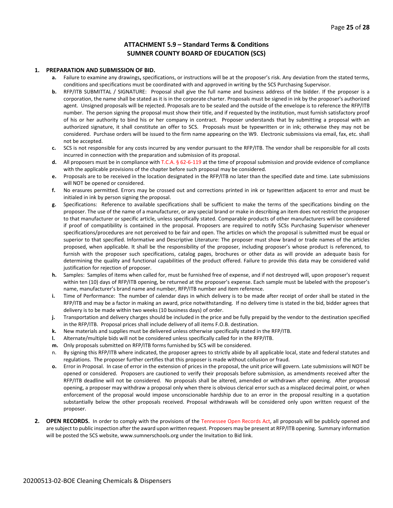#### **ATTACHMENT 5.9 – Standard Terms & Conditions SUMNER COUNTY BOARD OF EDUCATION (SCS)**

#### **1. PREPARATION AND SUBMISSION OF BID.**

- **a.** Failure to examine any drawings**,** specifications, or instructions will be at the proposer's risk. Any deviation from the stated terms, conditions and specifications must be coordinated with and approved in writing by the SCS Purchasing Supervisor.
- **b.** RFP/ITB SUBMITTAL / SIGNATURE: Proposal shall give the full name and business address of the bidder. If the proposer is a corporation, the name shall be stated as it is in the corporate charter. Proposals must be signed in ink by the proposer's authorized agent. Unsigned proposals will be rejected. Proposals are to be sealed and the outside of the envelope is to reference the RFP/ITB number. The person signing the proposal must show their title, and if requested by the institution, must furnish satisfactory proof of his or her authority to bind his or her company in contract. Proposer understands that by submitting a proposal with an authorized signature, it shall constitute an offer to SCS. Proposals must be typewritten or in ink; otherwise they may not be considered. Purchase orders will be issued to the firm name appearing on the W9. Electronic submissions via email, fax, etc. shall not be accepted.
- **c.** SCS is not responsible for any costs incurred by any vendor pursuant to the RFP/ITB. The vendor shall be responsible for all costs incurred in connection with the preparation and submission of its proposal.
- **d.** All proposers must be in compliance with T.C.A. § 62-6-119 at the time of proposal submission and provide evidence of compliance with the applicable provisions of the chapter before such proposal may be considered.
- **e.** Proposals are to be received in the location designated in the RFP/ITB no later than the specified date and time. Late submissions will NOT be opened or considered.
- **f.** No erasures permitted. Errors may be crossed out and corrections printed in ink or typewritten adjacent to error and must be initialed in ink by person signing the proposal.
- **g.** Specifications: Reference to available specifications shall be sufficient to make the terms of the specifications binding on the proposer. The use of the name of a manufacturer, or any special brand or make in describing an item does not restrict the proposer to that manufacturer or specific article, unless specifically stated. Comparable products of other manufacturers will be considered if proof of compatibility is contained in the proposal. Proposers are required to notify SCSs Purchasing Supervisor whenever specifications/procedures are not perceived to be fair and open. The articles on which the proposal is submitted must be equal or superior to that specified. Informative and Descriptive Literature: The proposer must show brand or trade names of the articles proposed, when applicable. It shall be the responsibility of the proposer, including proposer's whose product is referenced, to furnish with the proposer such specifications, catalog pages, brochures or other data as will provide an adequate basis for determining the quality and functional capabilities of the product offered. Failure to provide this data may be considered valid justification for rejection of proposer.
- **h.** Samples: Samples of items when called for, must be furnished free of expense, and if not destroyed will, upon proposer's request within ten (10) days of RFP/ITB opening, be returned at the proposer's expense. Each sample must be labeled with the proposer's name, manufacturer's brand name and number, RFP/ITB number and item reference.
- **i.** Time of Performance: The number of calendar days in which delivery is to be made after receipt of order shall be stated in the RFP/ITB and may be a factor in making an award, price notwithstanding. If no delivery time is stated in the bid, bidder agrees that delivery is to be made within two weeks (10 business days) of order.
- **j.** Transportation and delivery charges should be included in the price and be fully prepaid by the vendor to the destination specified in the RFP/ITB. Proposal prices shall include delivery of all items F.O.B. destination.
- **k.** New materials and supplies must be delivered unless otherwise specifically stated in the RFP/ITB.
- **l.** Alternate/multiple bids will not be considered unless specifically called for in the RFP/ITB.
- **m.** Only proposals submitted on RFP/ITB forms furnished by SCS will be considered.
- n. By signing this RFP/ITB where indicated, the proposer agrees to strictly abide by all applicable local, state and federal statutes and regulations. The proposer further certifies that this proposer is made without collusion or fraud.
- **o.** Error in Proposal. In case of error in the extension of prices in the proposal, the unit price will govern. Late submissions will NOT be opened or considered. Proposers are cautioned to verify their proposals before submission, as amendments received after the RFP/ITB deadline will not be considered. No proposals shall be altered, amended or withdrawn after opening. After proposal opening, a proposer may withdraw a proposal only when there is obvious clerical error such as a misplaced decimal point, or when enforcement of the proposal would impose unconscionable hardship due to an error in the proposal resulting in a quotation substantially below the other proposals received. Proposal withdrawals will be considered only upon written request of the proposer.
- **2. OPEN RECORDS.** In order to comply with the provisions of the Tennessee Open Records Act, all proposals will be publicly opened and are subject to public inspection after the award upon written request. Proposers may be present at RFP/ITB opening. Summary information will be posted the SCS website, www.sumnerschools.org under the Invitation to Bid link.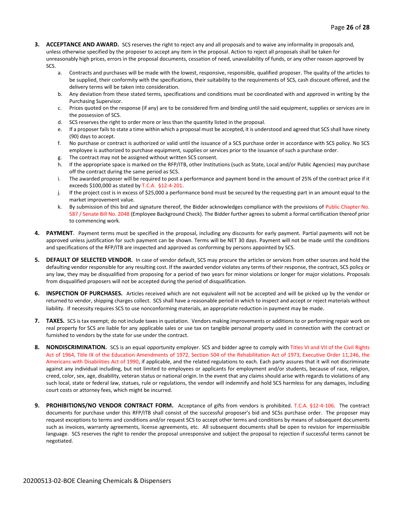- **3. ACCEPTANCE AND AWARD.** SCS reserves the right to reject any and all proposals and to waive any informality in proposals and, unless otherwise specified by the proposer to accept any item in the proposal. Action to reject all proposals shall be taken for unreasonably high prices, errors in the proposal documents, cessation of need, unavailability of funds, or any other reason approved by SCS.
	- a. Contracts and purchases will be made with the lowest, responsive, responsible, qualified proposer. The quality of the articles to be supplied, their conformity with the specifications, their suitability to the requirements of SCS, cash discount offered, and the delivery terms will be taken into consideration.
	- b. Any deviation from these stated terms, specifications and conditions must be coordinated with and approved in writing by the Purchasing Supervisor.
	- c. Prices quoted on the response (if any) are to be considered firm and binding until the said equipment, supplies or services are in the possession of SCS.
	- d. SCS reserves the right to order more or less than the quantity listed in the proposal.
	- e. If a proposer fails to state a time within which a proposal must be accepted, it is understood and agreed that SCS shall have ninety (90) days to accept.
	- f. No purchase or contract is authorized or valid until the issuance of a SCS purchase order in accordance with SCS policy. No SCS employee is authorized to purchase equipment, supplies or services prior to the issuance of such a purchase order.
	- g. The contract may not be assigned without written SCS consent.
	- h. If the appropriate space is marked on the RFP/ITB, other Institutions (such as State, Local and/or Public Agencies) may purchase off the contract during the same period as SCS.
	- i. The awarded proposer will be required to post a performance and payment bond in the amount of 25% of the contract price if it exceeds \$100,000 as stated by T.C.A. §12-4-201.
	- j. If the project cost is in excess of \$25,000 a performance bond must be secured by the requesting part in an amount equal to the market improvement value.
	- k. By submission of this bid and signature thereof, the Bidder acknowledges compliance with the provisions of Public Chapter No. 587 / Senate Bill No. 2048 (Employee Background Check). The Bidder further agrees to submit a formal certification thereof prior to commencing work.
- **4. PAYMENT**. Payment terms must be specified in the proposal, including any discounts for early payment. Partial payments will not be approved unless justification for such payment can be shown. Terms will be NET 30 days. Payment will not be made until the conditions and specifications of the RFP/ITB are inspected and approved as conforming by persons appointed by SCS.
- **5. DEFAULT OF SELECTED VENDOR.** In case of vendor default, SCS may procure the articles or services from other sources and hold the defaulting vendor responsible for any resulting cost. If the awarded vendor violates any terms of their response, the contract, SCS policy or any law, they may be disqualified from proposing for a period of two years for minor violations or longer for major violations. Proposals from disqualified proposers will not be accepted during the period of disqualification.
- **6. INSPECTION OF PURCHASES.** Articles received which are not equivalent will not be accepted and will be picked up by the vendor or returned to vendor, shipping charges collect. SCS shall have a reasonable period in which to inspect and accept or reject materials without liability. If necessity requires SCS to use nonconforming materials, an appropriate reduction in payment may be made.
- **7. TAXES.** SCS is tax exempt; do not include taxes in quotation. Vendors making improvements or additions to or performing repair work on real property for SCS are liable for any applicable sales or use tax on tangible personal property used in connection with the contract or furnished to vendors by the state for use under the contract.
- **8. NONDISCRIMINATION.** SCS is an equal opportunity employer. SCS and bidder agree to comply with Titles VI and VII of the Civil Rights Act of 1964, Title IX of the Education Amendments of 1972, Section 504 of the Rehabilitation Act of 1973, Executive Order 11,246, the Americans with Disabilities Act of 1990, if applicable, and the related regulations to each. Each party assures that it will not discriminate against any individual including, but not limited to employees or applicants for employment and/or students, because of race, religion, creed, color, sex, age, disability, veteran status or national origin. In the event that any claims should arise with regards to violations of any such local, state or federal law, statues, rule or regulations, the vendor will indemnify and hold SCS harmless for any damages, including court costs or attorney fees, which might be incurred.
- **9. PROHIBITIONS/NO VENDOR CONTRACT FORM.** Acceptance of gifts from vendors is prohibited. T.C.A. §12-4-106. The contract documents for purchase under this RFP/ITB shall consist of the successful proposer's bid and SCSs purchase order. The proposer may request exceptions to terms and conditions and/or request SCS to accept other terms and conditions by means of subsequent documents such as invoices, warranty agreements, license agreements, etc. All subsequent documents shall be open to revision for impermissible language. SCS reserves the right to render the proposal unresponsive and subject the proposal to rejection if successful terms cannot be negotiated.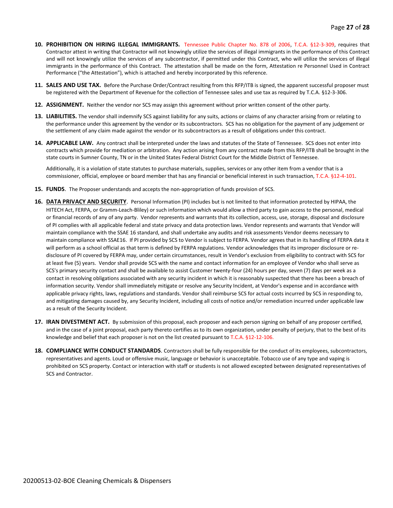- **10. PROHIBITION ON HIRING ILLEGAL IMMIGRANTS.** Tennessee Public Chapter No. 878 of 2006, T.C.A. §12-3-309, requires that Contractor attest in writing that Contractor will not knowingly utilize the services of illegal immigrants in the performance of this Contract and will not knowingly utilize the services of any subcontractor, if permitted under this Contract, who will utilize the services of illegal immigrants in the performance of this Contract. The attestation shall be made on the form, Attestation re Personnel Used in Contract Performance ("the Attestation"), which is attached and hereby incorporated by this reference.
- **11. SALES AND USE TAX.** Before the Purchase Order/Contract resulting from this RFP/ITB is signed, the apparent successful proposer must be registered with the Department of Revenue for the collection of Tennessee sales and use tax as required by T.C.A. §12-3-306.
- **12. ASSIGNMENT.** Neither the vendor nor SCS may assign this agreement without prior written consent of the other party.
- **13. LIABILITIES.** The vendor shall indemnify SCS against liability for any suits, actions or claims of any character arising from or relating to the performance under this agreement by the vendor or its subcontractors. SCS has no obligation for the payment of any judgement or the settlement of any claim made against the vendor or its subcontractors as a result of obligations under this contract.
- **14. APPLICABLE LAW.** Any contract shall be interpreted under the laws and statutes of the State of Tennessee. SCS does not enter into contracts which provide for mediation or arbitration. Any action arising from any contract made from this RFP/ITB shall be brought in the state courts in Sumner County, TN or in the United States Federal District Court for the Middle District of Tennessee.

Additionally, it is a violation of state statutes to purchase materials, supplies, services or any other item from a vendor that is a commissioner, official, employee or board member that has any financial or beneficial interest in such transaction, T.C.A. §12-4-101.

- **15. FUNDS**. The Proposer understands and accepts the non-appropriation of funds provision of SCS.
- **16. DATA PRIVACY AND SECURITY**. Personal Information (PI) includes but is not limited to that information protected by HIPAA, the HITECH Act, FERPA, or Gramm-Leach-Bliley) or such information which would allow a third party to gain access to the personal, medical or financial records of any of any party. Vendor represents and warrants that its collection, access, use, storage, disposal and disclosure of PI complies with all applicable federal and state privacy and data protection laws. Vendor represents and warrants that Vendor will maintain compliance with the SSAE 16 standard, and shall undertake any audits and risk assessments Vendor deems necessary to maintain compliance with SSAE16. If PI provided by SCS to Vendor is subject to FERPA. Vendor agrees that in its handling of FERPA data it will perform as a school official as that term is defined by FERPA regulations. Vendor acknowledges that its improper disclosure or redisclosure of PI covered by FERPA may, under certain circumstances, result in Vendor's exclusion from eligibility to contract with SCS for at least five (5) years. Vendor shall provide SCS with the name and contact information for an employee of Vendor who shall serve as SCS's primary security contact and shall be available to assist Customer twenty-four (24) hours per day, seven (7) days per week as a contact in resolving obligations associated with any security incident in which it is reasonably suspected that there has been a breach of information security. Vendor shall immediately mitigate or resolve any Security Incident, at Vendor's expense and in accordance with applicable privacy rights, laws, regulations and standards. Vendor shall reimburse SCS for actual costs incurred by SCS in responding to, and mitigating damages caused by, any Security Incident, including all costs of notice and/or remediation incurred under applicable law as a result of the Security Incident.
- **17. IRAN DIVESTMENT ACT.** By submission of this proposal, each proposer and each person signing on behalf of any proposer certified, and in the case of a joint proposal, each party thereto certifies as to its own organization, under penalty of perjury, that to the best of its knowledge and belief that each proposer is not on the list created pursuant to T.C.A. §12-12-106.
- **18. COMPLIANCE WITH CONDUCT STANDARDS**. Contractors shall be fully responsible for the conduct of its employees, subcontractors, representatives and agents. Loud or offensive music, language or behavior is unacceptable. Tobacco use of any type and vaping is prohibited on SCS property. Contact or interaction with staff or students is not allowed excepted between designated representatives of SCS and Contractor.